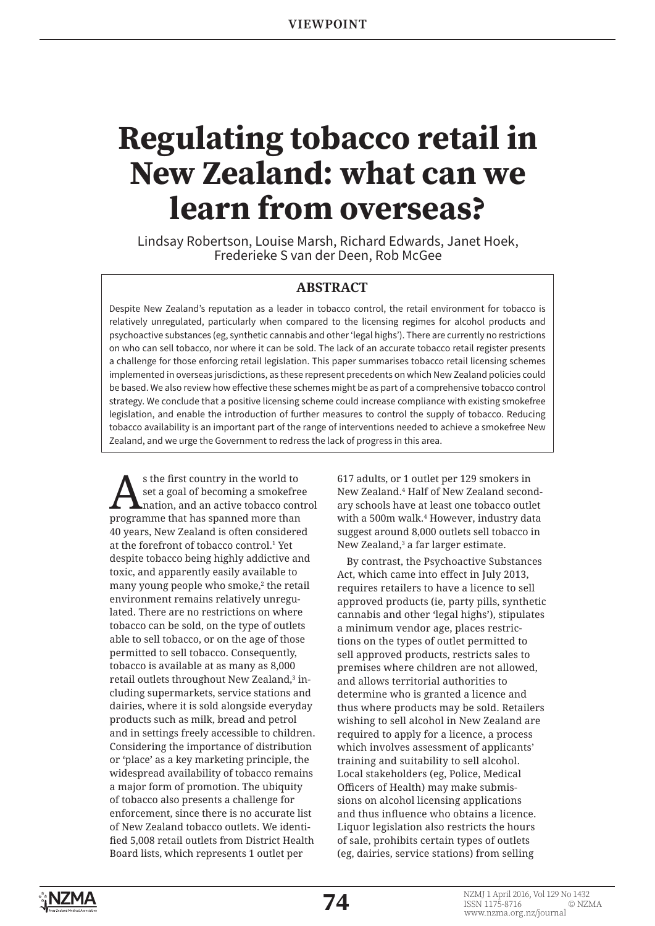# **Regulating tobacco retail in New Zealand: what can we learn from overseas?**

Lindsay Robertson, Louise Marsh, Richard Edwards, Janet Hoek, Frederieke S van der Deen, Rob McGee

### **ABSTRACT**

Despite New Zealand's reputation as a leader in tobacco control, the retail environment for tobacco is relatively unregulated, particularly when compared to the licensing regimes for alcohol products and psychoactive substances (eg, synthetic cannabis and other 'legal highs'). There are currently no restrictions on who can sell tobacco, nor where it can be sold. The lack of an accurate tobacco retail register presents a challenge for those enforcing retail legislation. This paper summarises tobacco retail licensing schemes implemented in overseas jurisdictions, as these represent precedents on which New Zealand policies could be based. We also review how effective these schemes might be as part of a comprehensive tobacco control strategy. We conclude that a positive licensing scheme could increase compliance with existing smokefree legislation, and enable the introduction of further measures to control the supply of tobacco. Reducing tobacco availability is an important part of the range of interventions needed to achieve a smokefree New Zealand, and we urge the Government to redress the lack of progress in this area.

s the first country in the world to<br>set a goal of becoming a smokefre<br>mation, and an active tobacco con set a goal of becoming a smokefree nation, and an active tobacco control programme that has spanned more than 40 years, New Zealand is often considered at the forefront of tobacco control.<sup>1</sup> Yet despite tobacco being highly addictive and toxic, and apparently easily available to many young people who smoke,<sup>2</sup> the retail environment remains relatively unregulated. There are no restrictions on where tobacco can be sold, on the type of outlets able to sell tobacco, or on the age of those permitted to sell tobacco. Consequently, tobacco is available at as many as 8,000 retail outlets throughout New Zealand,<sup>3</sup> including supermarkets, service stations and dairies, where it is sold alongside everyday products such as milk, bread and petrol and in settings freely accessible to children. Considering the importance of distribution or 'place' as a key marketing principle, the widespread availability of tobacco remains a major form of promotion. The ubiquity of tobacco also presents a challenge for enforcement, since there is no accurate list of New Zealand tobacco outlets. We identified 5,008 retail outlets from District Health Board lists, which represents 1 outlet per

617 adults, or 1 outlet per 129 smokers in New Zealand.<sup>4</sup> Half of New Zealand secondary schools have at least one tobacco outlet with a 500m walk.<sup>4</sup> However, industry data suggest around 8,000 outlets sell tobacco in New Zealand,<sup>3</sup> a far larger estimate.

By contrast, the Psychoactive Substances Act, which came into effect in July 2013, requires retailers to have a licence to sell approved products (ie, party pills, synthetic cannabis and other 'legal highs'), stipulates a minimum vendor age, places restrictions on the types of outlet permitted to sell approved products, restricts sales to premises where children are not allowed, and allows territorial authorities to determine who is granted a licence and thus where products may be sold. Retailers wishing to sell alcohol in New Zealand are required to apply for a licence, a process which involves assessment of applicants' training and suitability to sell alcohol. Local stakeholders (eg, Police, Medical Officers of Health) may make submissions on alcohol licensing applications and thus influence who obtains a licence. Liquor legislation also restricts the hours of sale, prohibits certain types of outlets (eg, dairies, service stations) from selling

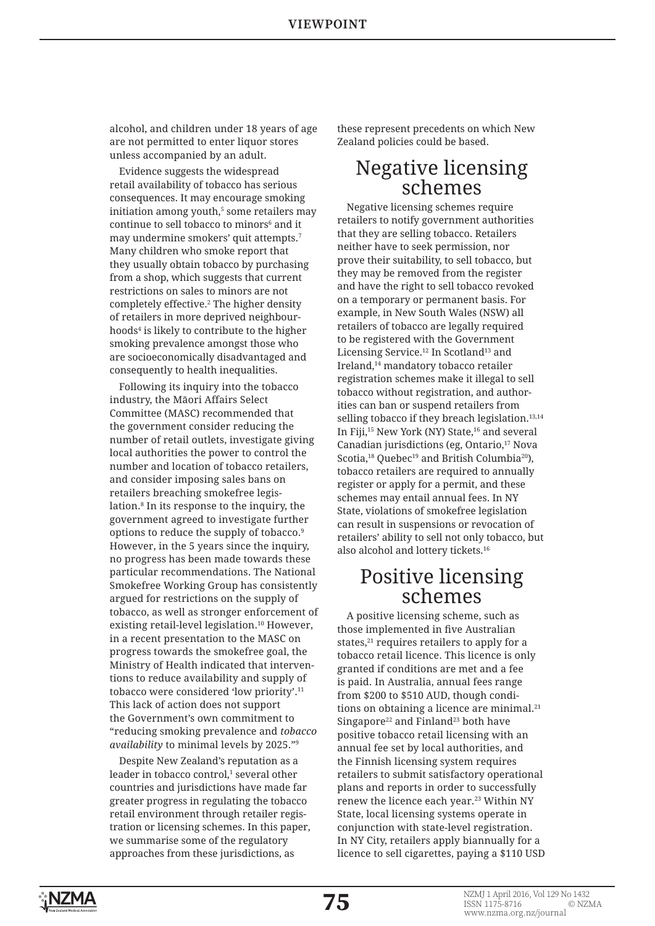alcohol, and children under 18 years of age are not permitted to enter liquor stores unless accompanied by an adult.

Evidence suggests the widespread retail availability of tobacco has serious consequences. It may encourage smoking initiation among youth,<sup>5</sup> some retailers may continue to sell tobacco to minors<sup>6</sup> and it may undermine smokers' quit attempts.<sup>7</sup> Many children who smoke report that they usually obtain tobacco by purchasing from a shop, which suggests that current restrictions on sales to minors are not completely effective.<sup>2</sup> The higher density of retailers in more deprived neighbourhoods<sup>4</sup> is likely to contribute to the higher smoking prevalence amongst those who are socioeconomically disadvantaged and consequently to health inequalities.

Following its inquiry into the tobacco industry, the Māori Affairs Select Committee (MASC) recommended that the government consider reducing the number of retail outlets, investigate giving local authorities the power to control the number and location of tobacco retailers, and consider imposing sales bans on retailers breaching smokefree legislation.8 In its response to the inquiry, the government agreed to investigate further options to reduce the supply of tobacco.9 However, in the 5 years since the inquiry, no progress has been made towards these particular recommendations. The National Smokefree Working Group has consistently argued for restrictions on the supply of tobacco, as well as stronger enforcement of existing retail-level legislation.<sup>10</sup> However, in a recent presentation to the MASC on progress towards the smokefree goal, the Ministry of Health indicated that interventions to reduce availability and supply of tobacco were considered 'low priority'.<sup>11</sup> This lack of action does not support the Government's own commitment to "reducing smoking prevalence and *tobacco availability* to minimal levels by 2025."9

Despite New Zealand's reputation as a leader in tobacco control,<sup>1</sup> several other countries and jurisdictions have made far greater progress in regulating the tobacco retail environment through retailer registration or licensing schemes. In this paper, we summarise some of the regulatory approaches from these jurisdictions, as

these represent precedents on which New Zealand policies could be based.

### Negative licensing schemes

Negative licensing schemes require retailers to notify government authorities that they are selling tobacco. Retailers neither have to seek permission, nor prove their suitability, to sell tobacco, but they may be removed from the register and have the right to sell tobacco revoked on a temporary or permanent basis. For example, in New South Wales (NSW) all retailers of tobacco are legally required to be registered with the Government Licensing Service.<sup>12</sup> In Scotland<sup>13</sup> and Ireland,<sup>14</sup> mandatory tobacco retailer registration schemes make it illegal to sell tobacco without registration, and authorities can ban or suspend retailers from selling tobacco if they breach legislation.<sup>13,14</sup> In Fiji,<sup>15</sup> New York (NY) State,<sup>16</sup> and several Canadian jurisdictions (eg, Ontario,<sup>17</sup> Nova Scotia,<sup>18</sup> Quebec<sup>19</sup> and British Columbia<sup>20</sup>), tobacco retailers are required to annually register or apply for a permit, and these schemes may entail annual fees. In NY State, violations of smokefree legislation can result in suspensions or revocation of retailers' ability to sell not only tobacco, but also alcohol and lottery tickets.<sup>16</sup>

# Positive licensing schemes

A positive licensing scheme, such as those implemented in five Australian states, $21$  requires retailers to apply for a tobacco retail licence. This licence is only granted if conditions are met and a fee is paid. In Australia, annual fees range from \$200 to \$510 AUD, though conditions on obtaining a licence are minimal.<sup>21</sup> Singapore<sup>22</sup> and Finland<sup>23</sup> both have positive tobacco retail licensing with an annual fee set by local authorities, and the Finnish licensing system requires retailers to submit satisfactory operational plans and reports in order to successfully renew the licence each year.<sup>23</sup> Within NY State, local licensing systems operate in conjunction with state-level registration. In NY City, retailers apply biannually for a licence to sell cigarettes, paying a \$110 USD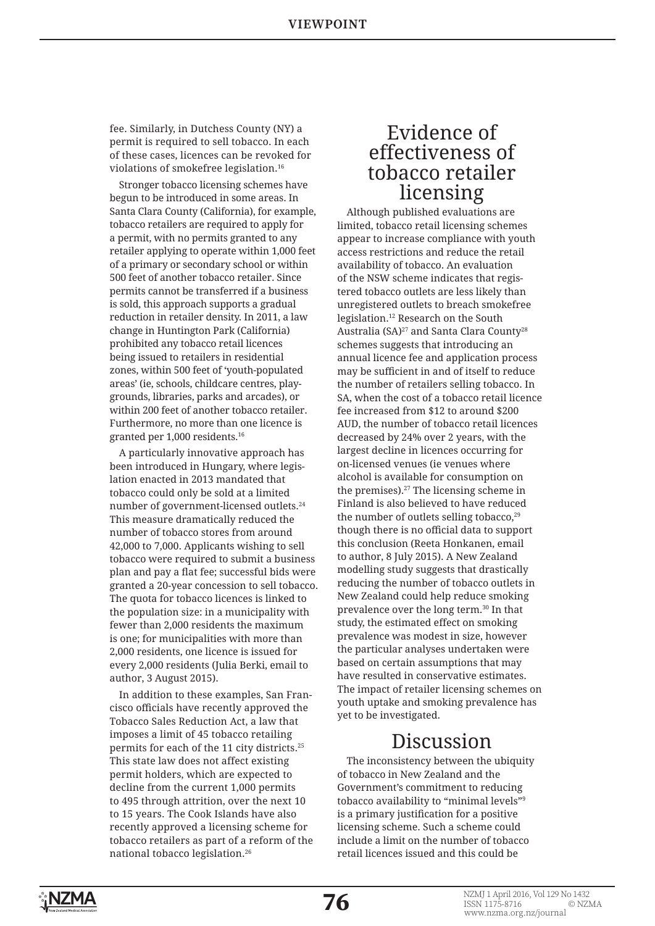fee. Similarly, in Dutchess County (NY) a permit is required to sell tobacco. In each of these cases, licences can be revoked for violations of smokefree legislation.<sup>16</sup>

Stronger tobacco licensing schemes have begun to be introduced in some areas. In Santa Clara County (California), for example, tobacco retailers are required to apply for a permit, with no permits granted to any retailer applying to operate within 1,000 feet of a primary or secondary school or within 500 feet of another tobacco retailer. Since permits cannot be transferred if a business is sold, this approach supports a gradual reduction in retailer density. In 2011, a law change in Huntington Park (California) prohibited any tobacco retail licences being issued to retailers in residential zones, within 500 feet of 'youth-populated areas' (ie, schools, childcare centres, playgrounds, libraries, parks and arcades), or within 200 feet of another tobacco retailer. Furthermore, no more than one licence is granted per 1,000 residents.16

A particularly innovative approach has been introduced in Hungary, where legislation enacted in 2013 mandated that tobacco could only be sold at a limited number of government-licensed outlets.<sup>24</sup> This measure dramatically reduced the number of tobacco stores from around 42,000 to 7,000. Applicants wishing to sell tobacco were required to submit a business plan and pay a flat fee; successful bids were granted a 20-year concession to sell tobacco. The quota for tobacco licences is linked to the population size: in a municipality with fewer than 2,000 residents the maximum is one; for municipalities with more than 2,000 residents, one licence is issued for every 2,000 residents (Julia Berki, email to author, 3 August 2015).

In addition to these examples, San Francisco officials have recently approved the Tobacco Sales Reduction Act, a law that imposes a limit of 45 tobacco retailing permits for each of the 11 city districts.25 This state law does not affect existing permit holders, which are expected to decline from the current 1,000 permits to 495 through attrition, over the next 10 to 15 years. The Cook Islands have also recently approved a licensing scheme for tobacco retailers as part of a reform of the national tobacco legislation.<sup>26</sup>

# Evidence of effectiveness of tobacco retailer licensing

Although published evaluations are limited, tobacco retail licensing schemes appear to increase compliance with youth access restrictions and reduce the retail availability of tobacco. An evaluation of the NSW scheme indicates that registered tobacco outlets are less likely than unregistered outlets to breach smokefree legislation.<sup>12</sup> Research on the South Australia (SA)<sup>27</sup> and Santa Clara County<sup>28</sup> schemes suggests that introducing an annual licence fee and application process may be sufficient in and of itself to reduce the number of retailers selling tobacco. In SA, when the cost of a tobacco retail licence fee increased from \$12 to around \$200 AUD, the number of tobacco retail licences decreased by 24% over 2 years, with the largest decline in licences occurring for on-licensed venues (ie venues where alcohol is available for consumption on the premises).<sup>27</sup> The licensing scheme in Finland is also believed to have reduced the number of outlets selling tobacco,<sup>29</sup> though there is no official data to support this conclusion (Reeta Honkanen, email to author, 8 July 2015). A New Zealand modelling study suggests that drastically reducing the number of tobacco outlets in New Zealand could help reduce smoking prevalence over the long term.<sup>30</sup> In that study, the estimated effect on smoking prevalence was modest in size, however the particular analyses undertaken were based on certain assumptions that may have resulted in conservative estimates. The impact of retailer licensing schemes on youth uptake and smoking prevalence has yet to be investigated.

## Discussion

The inconsistency between the ubiquity of tobacco in New Zealand and the Government's commitment to reducing tobacco availability to "minimal levels"9 is a primary justification for a positive licensing scheme. Such a scheme could include a limit on the number of tobacco retail licences issued and this could be

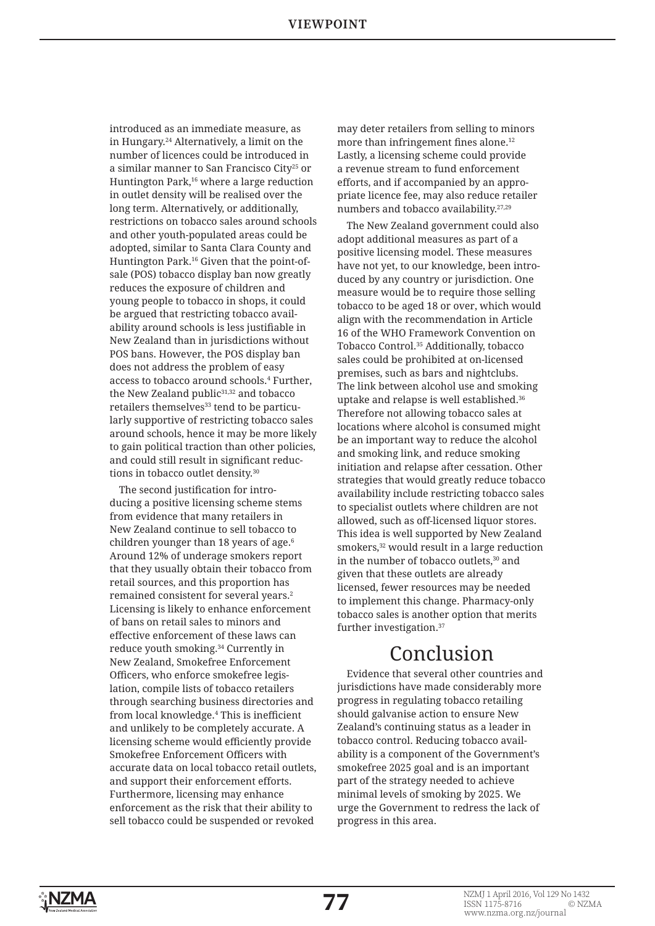introduced as an immediate measure, as in Hungary.<sup>24</sup> Alternatively, a limit on the number of licences could be introduced in a similar manner to San Francisco City25 or Huntington Park,<sup>16</sup> where a large reduction in outlet density will be realised over the long term. Alternatively, or additionally, restrictions on tobacco sales around schools and other youth-populated areas could be adopted, similar to Santa Clara County and Huntington Park.16 Given that the point-ofsale (POS) tobacco display ban now greatly reduces the exposure of children and young people to tobacco in shops, it could be argued that restricting tobacco availability around schools is less justifiable in New Zealand than in jurisdictions without POS bans. However, the POS display ban does not address the problem of easy access to tobacco around schools.<sup>4</sup> Further, the New Zealand public<sup>31,32</sup> and tobacco retailers themselves<sup>33</sup> tend to be particularly supportive of restricting tobacco sales around schools, hence it may be more likely to gain political traction than other policies, and could still result in significant reductions in tobacco outlet density.<sup>30</sup>

The second justification for introducing a positive licensing scheme stems from evidence that many retailers in New Zealand continue to sell tobacco to children younger than 18 years of age.<sup>6</sup> Around 12% of underage smokers report that they usually obtain their tobacco from retail sources, and this proportion has remained consistent for several years.<sup>2</sup> Licensing is likely to enhance enforcement of bans on retail sales to minors and effective enforcement of these laws can reduce youth smoking.<sup>34</sup> Currently in New Zealand, Smokefree Enforcement Officers, who enforce smokefree legislation, compile lists of tobacco retailers through searching business directories and from local knowledge.<sup>4</sup> This is inefficient and unlikely to be completely accurate. A licensing scheme would efficiently provide Smokefree Enforcement Officers with accurate data on local tobacco retail outlets, and support their enforcement efforts. Furthermore, licensing may enhance enforcement as the risk that their ability to sell tobacco could be suspended or revoked

may deter retailers from selling to minors more than infringement fines alone.<sup>12</sup> Lastly, a licensing scheme could provide a revenue stream to fund enforcement efforts, and if accompanied by an appropriate licence fee, may also reduce retailer numbers and tobacco availability.27,29

The New Zealand government could also adopt additional measures as part of a positive licensing model. These measures have not yet, to our knowledge, been introduced by any country or jurisdiction. One measure would be to require those selling tobacco to be aged 18 or over, which would align with the recommendation in Article 16 of the WHO Framework Convention on Tobacco Control.35 Additionally, tobacco sales could be prohibited at on-licensed premises, such as bars and nightclubs. The link between alcohol use and smoking uptake and relapse is well established.<sup>36</sup> Therefore not allowing tobacco sales at locations where alcohol is consumed might be an important way to reduce the alcohol and smoking link, and reduce smoking initiation and relapse after cessation. Other strategies that would greatly reduce tobacco availability include restricting tobacco sales to specialist outlets where children are not allowed, such as off-licensed liquor stores. This idea is well supported by New Zealand smokers,<sup>32</sup> would result in a large reduction in the number of tobacco outlets,<sup>30</sup> and given that these outlets are already licensed, fewer resources may be needed to implement this change. Pharmacy-only tobacco sales is another option that merits further investigation.<sup>37</sup>

# Conclusion

Evidence that several other countries and jurisdictions have made considerably more progress in regulating tobacco retailing should galvanise action to ensure New Zealand's continuing status as a leader in tobacco control. Reducing tobacco availability is a component of the Government's smokefree 2025 goal and is an important part of the strategy needed to achieve minimal levels of smoking by 2025. We urge the Government to redress the lack of progress in this area.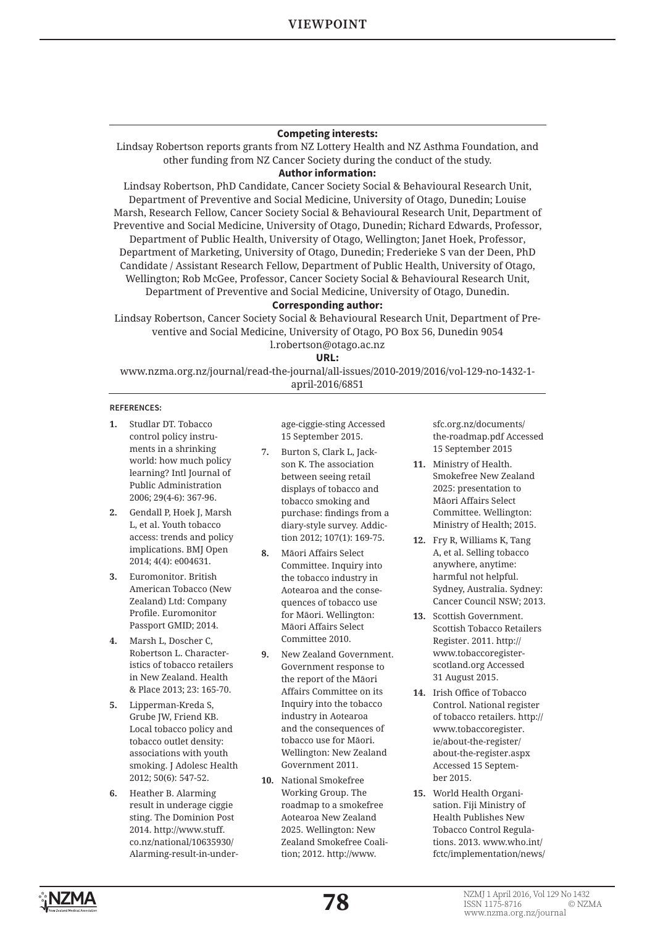### **Competing interests:**

Lindsay Robertson reports grants from NZ Lottery Health and NZ Asthma Foundation, and other funding from NZ Cancer Society during the conduct of the study.

### **Author information:**

Lindsay Robertson, PhD Candidate, Cancer Society Social & Behavioural Research Unit, Department of Preventive and Social Medicine, University of Otago, Dunedin; Louise Marsh, Research Fellow, Cancer Society Social & Behavioural Research Unit, Department of Preventive and Social Medicine, University of Otago, Dunedin; Richard Edwards, Professor, Department of Public Health, University of Otago, Wellington; Janet Hoek, Professor, Department of Marketing, University of Otago, Dunedin; Frederieke S van der Deen, PhD Candidate / Assistant Research Fellow, Department of Public Health, University of Otago, Wellington; Rob McGee, Professor, Cancer Society Social & Behavioural Research Unit, Department of Preventive and Social Medicine, University of Otago, Dunedin.

### **Corresponding author:**

Lindsay Robertson, Cancer Society Social & Behavioural Research Unit, Department of Preventive and Social Medicine, University of Otago, PO Box 56, Dunedin 9054 l.robertson@otago.ac.nz

**URL:**

www.nzma.org.nz/journal/read-the-journal/all-issues/2010-2019/2016/vol-129-no-1432-1 april-2016/6851

#### **REFERENCES:**

- **1.** Studlar DT. Tobacco control policy instruments in a shrinking world: how much policy learning? Intl Journal of Public Administration 2006; 29(4-6): 367-96.
- **2.** Gendall P, Hoek J, Marsh L, et al. Youth tobacco access: trends and policy implications. BMJ Open 2014; 4(4): e004631.
- **3.** Euromonitor. British American Tobacco (New Zealand) Ltd: Company Profile. Euromonitor Passport GMID; 2014.
- **4.** Marsh L, Doscher C, Robertson L. Characteristics of tobacco retailers in New Zealand. Health & Place 2013; 23: 165-70.
- **5.** Lipperman-Kreda S, Grube JW, Friend KB. Local tobacco policy and tobacco outlet density: associations with youth smoking. J Adolesc Health 2012; 50(6): 547-52.
- **6.** Heather B. Alarming result in underage ciggie sting. The Dominion Post 2014. http://www.stuff. co.nz/national/10635930/ Alarming-result-in-under-

age-ciggie-sting Accessed 15 September 2015.

- **7.** Burton S, Clark L, Jackson K. The association between seeing retail displays of tobacco and tobacco smoking and purchase: findings from a diary-style survey. Addiction 2012; 107(1): 169-75.
- **8.** Māori Affairs Select Committee. Inquiry into the tobacco industry in Aotearoa and the consequences of tobacco use for Māori. Wellington: Māori Affairs Select Committee 2010.
- **9.** New Zealand Government. Government response to the report of the Māori Affairs Committee on its Inquiry into the tobacco industry in Aotearoa and the consequences of tobacco use for Māori. Wellington: New Zealand Government 2011.
- **10.** National Smokefree Working Group. The roadmap to a smokefree Aotearoa New Zealand 2025. Wellington: New Zealand Smokefree Coalition; 2012. http://www.

sfc.org.nz/documents/ the-roadmap.pdf Accessed 15 September 2015

- **11.** Ministry of Health. Smokefree New Zealand 2025: presentation to Māori Affairs Select Committee. Wellington: Ministry of Health; 2015.
- **12.** Fry R, Williams K, Tang A, et al. Selling tobacco anywhere, anytime: harmful not helpful. Sydney, Australia. Sydney: Cancer Council NSW; 2013.
- **13.** Scottish Government. Scottish Tobacco Retailers Register. 2011. http:// www.tobaccoregisterscotland.org Accessed 31 August 2015.
- **14.** Irish Office of Tobacco Control. National register of tobacco retailers. http:// www.tobaccoregister. ie/about-the-register/ about-the-register.aspx Accessed 15 September 2015.
- **15.** World Health Organisation. Fiji Ministry of Health Publishes New Tobacco Control Regulations. 2013. www.who.int/ fctc/implementation/news/